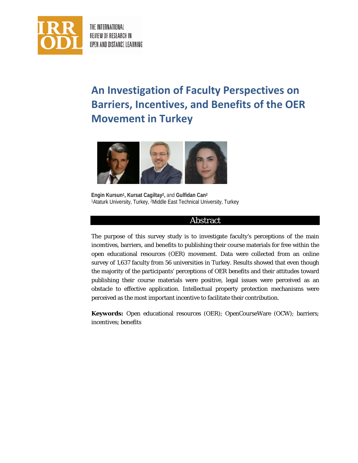

THE INTERNATIONAL REVIEW OF RESEARCH IN OPEN AND DISTANCE LEARNING

# **An Investigation of Faculty Perspectives on Barriers, Incentives, and Benefits of the OER Movement in Turkey**



**Engin Kursun1, Kursat Cagiltay2,** and **Gulfidan Can2** 1 Ataturk University, Turkey, <sup>2</sup> Middle East Technical University, Turkey

### Abstract

The purpose of this survey study is to investigate faculty's perceptions of the main incentives, barriers, and benefits to publishing their course materials for free within the open educational resources (OER) movement. Data were collected from an online survey of 1,637 faculty from 56 universities in Turkey. Results showed that even though the majority of the participants' perceptions of OER benefits and their attitudes toward publishing their course materials were positive, legal issues were perceived as an obstacle to effective application. Intellectual property protection mechanisms were perceived as the most important incentive to facilitate their contribution.

**Keywords:** Open educational resources (OER); OpenCourseWare (OCW); barriers; incentives; benefits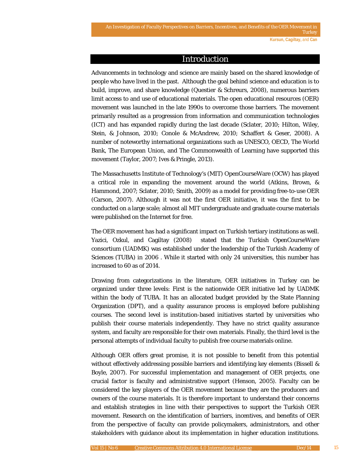### Introduction

Advancements in technology and science are mainly based on the shared knowledge of people who have lived in the past. Although the goal behind science and education is to build, improve, and share knowledge (Questier & Schreurs, 2008), numerous barriers limit access to and use of educational materials. The open educational resources (OER) movement was launched in the late 1990s to overcome those barriers. The movement primarily resulted as a progression from information and communication technologies (ICT) and has expanded rapidly during the last decade (Sclater, 2010; Hilton, Wiley, Stein, & Johnson, 2010; Conole & McAndrew, 2010; Schaffert & Geser, 2008). A number of noteworthy international organizations such as UNESCO, OECD, The World Bank, The European Union, and The Commonwealth of Learning have supported this movement (Taylor, 2007; Ives & Pringle, 2013).

The Massachusetts Institute of Technology's (MIT) OpenCourseWare (OCW) has played a critical role in expanding the movement around the world (Atkins, Brown, & Hammond, 2007; Sclater, 2010; Smith, 2009) as a model for providing free-to-use OER (Carson, 2007). Although it was not the first OER initiative, it was the first to be conducted on a large scale; almost all MIT undergraduate and graduate course materials were published on the Internet for free.

The OER movement has had a significant impact on Turkish tertiary institutions as well. Yazici, Ozkul, and Cagiltay (2008) stated that the Turkish OpenCourseWare consortium (UADMK) was established under the leadership of the Turkish Academy of Sciences (TUBA) in 2006 . While it started with only 24 universities, this number has increased to 60 as of 2014.

Drawing from categorizations in the literature, OER initiatives in Turkey can be organized under three levels: First is the nationwide OER initiative led by UADMK within the body of TUBA. It has an allocated budget provided by the State Planning Organization (DPT), and a quality assurance process is employed before publishing courses. The second level is institution-based initiatives started by universities who publish their course materials independently. They have no strict quality assurance system, and faculty are responsible for their own materials. Finally, the third level is the personal attempts of individual faculty to publish free course materials online.

Although OER offers great promise, it is not possible to benefit from this potential without effectively addressing possible barriers and identifying key elements (Bissell & Boyle, 2007). For successful implementation and management of OER projects, one crucial factor is faculty and administrative support (Henson, 2005). Faculty can be considered the key players of the OER movement because they are the producers and owners of the course materials. It is therefore important to understand their concerns and establish strategies in line with their perspectives to support the Turkish OER movement. Research on the identification of barriers, incentives, and benefits of OER from the perspective of faculty can provide policymakers, administrators, and other stakeholders with guidance about its implementation in higher education institutions.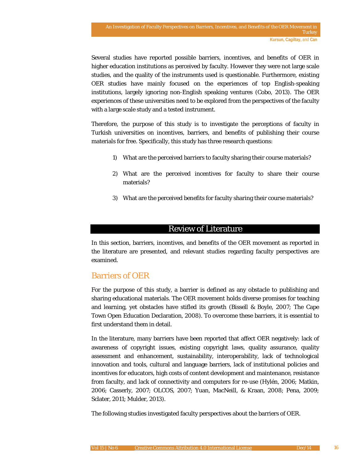Several studies have reported possible barriers, incentives, and benefits of OER in higher education institutions as perceived by faculty. However they were not large scale studies, and the quality of the instruments used is questionable. Furthermore, existing OER studies have mainly focused on the experiences of top English-speaking institutions, largely ignoring non-English speaking ventures (Cobo, 2013). The OER experiences of these universities need to be explored from the perspectives of the faculty with a large scale study and a tested instrument.

Therefore, the purpose of this study is to investigate the perceptions of faculty in Turkish universities on incentives, barriers, and benefits of publishing their course materials for free. Specifically, this study has three research questions:

- 1) What are the perceived barriers to faculty sharing their course materials?
- 2) What are the perceived incentives for faculty to share their course materials?
- 3) What are the perceived benefits for faculty sharing their course materials?

### Review of Literature

In this section, barriers, incentives, and benefits of the OER movement as reported in the literature are presented, and relevant studies regarding faculty perspectives are examined.

# Barriers of OER

For the purpose of this study, a barrier is defined as any obstacle to publishing and sharing educational materials. The OER movement holds diverse promises for teaching and learning, yet obstacles have stifled its growth (Bissell & Boyle, 2007; The Cape Town Open Education Declaration, 2008). To overcome these barriers, it is essential to first understand them in detail.

In the literature, many barriers have been reported that affect OER negatively: lack of awareness of copyright issues, existing copyright laws, quality assurance, quality assessment and enhancement, sustainability, interoperability, lack of technological innovation and tools, cultural and language barriers, lack of institutional policies and incentives for educators, high costs of content development and maintenance, resistance from faculty, and lack of connectivity and computers for re-use (Hylén, 2006; Matkin, 2006; Casserly, 2007; OLCOS, 2007; Yuan, MacNeill, & Kraan, 2008; Pena, 2009; Sclater, 2011; Mulder, 2013).

The following studies investigated faculty perspectives about the barriers of OER.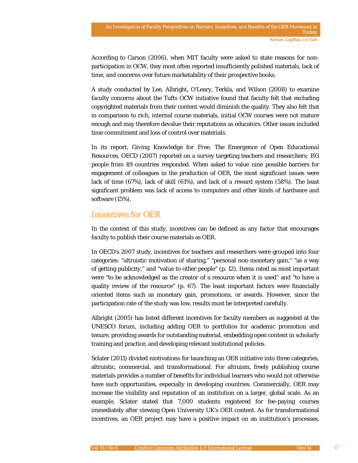According to Carson (2006), when MIT faculty were asked to state reasons for nonparticipation in OCW, they most often reported insufficiently polished materials, lack of time, and concerns over future marketability of their prospective books.

A study conducted by Lee, Albright, O'Leary, Terkla, and Wilson (2008) to examine faculty concerns about the Tufts OCW initiative found that faculty felt that excluding copyrighted materials from their content would diminish the quality. They also felt that in comparison to rich, internal course materials, initial OCW courses were not mature enough and may therefore devalue their reputations as educators. Other issues included time commitment and loss of control over materials.

In its report, *Giving Knowledge for Free. The Emergence of Open Educational Resources*, OECD (2007) reported on a survey targeting teachers and researchers; 193 people from 49 countries responded. When asked to value nine possible barriers for engagement of colleagues in the production of OER, the most significant issues were lack of time (67%), lack of skill (61%), and lack of a reward system (58%). The least significant problem was lack of access to computers and other kinds of hardware and software (15%).

# Incentives for OER

In the context of this study, incentives can be defined as any factor that encourages faculty to publish their course materials as OER.

In OECD's 2007 study, incentives for teachers and researchers were grouped into four categories: "altruistic motivation of sharing," "personal non-monetary gain," "as a way of getting publicity," and "value to other people" (p. 12). Items rated as most important were "to be acknowledged as the creator of a resource when it is used" and "to have a quality review of the resource" (p. 67). The least important factors were financially oriented items such as monetary gain, promotions, or awards. However, since the participation rate of the study was low, results must be interpreted carefully.

Albright (2005) has listed different incentives for faculty members as suggested at the UNESCO forum, including adding OER to portfolios for academic promotion and tenure, providing awards for outstanding material, embedding open content in scholarly training and practice, and developing relevant institutional policies.

Sclater (2011) divided motivations for launching an OER initiative into three categories, altruistic, commercial, and transformational. For altruism, freely publishing course materials provides a number of benefits for individual learners who would not otherwise have such opportunities, especially in developing countries. Commercially, OER may increase the visibility and reputation of an institution on a larger, global scale. As an example, Sclater stated that 7,000 students registered for fee-paying courses immediately after viewing Open University UK's OER content. As for transformational incentives, an OER project may have a positive impact on an institution's processes,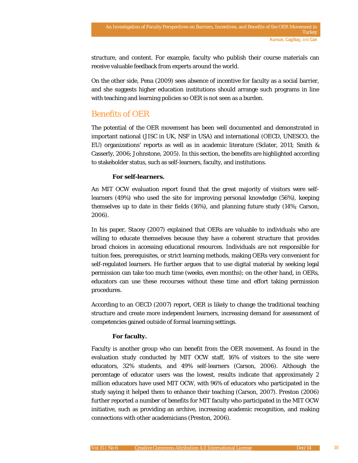structure, and content. For example, faculty who publish their course materials can receive valuable feedback from experts around the world.

On the other side, Pena (2009) sees absence of incentive for faculty as a social barrier, and she suggests higher education institutions should arrange such programs in line with teaching and learning policies so OER is not seen as a burden.

# Benefits of OER

The potential of the OER movement has been well documented and demonstrated in important national (JISC in UK, NSF in USA) and international (OECD, UNESCO, the EU) organizations' reports as well as in academic literature (Sclater, 2011; Smith & Casserly, 2006; Johnstone, 2005). In this section, the benefits are highlighted according to stakeholder status, such as self-learners, faculty, and institutions.

### **For self-learners.**

An MIT OCW evaluation report found that the great majority of visitors were selflearners (49%) who used the site for improving personal knowledge (56%), keeping themselves up to date in their fields (16%), and planning future study (14%; Carson, 2006).

In his paper, Stacey (2007) explained that OERs are valuable to individuals who are willing to educate themselves because they have a coherent structure that provides broad choices in accessing educational resources. Individuals are not responsible for tuition fees, prerequisites, or strict learning methods, making OERs very convenient for self-regulated learners. He further argues that to use digital material by seeking legal permission can take too much time (weeks, even months); on the other hand, in OERs, educators can use these recourses without these time and effort taking permission procedures.

According to an OECD (2007) report, OER is likely to change the traditional teaching structure and create more independent learners, increasing demand for assessment of competencies gained outside of formal learning settings.

### **For faculty.**

Faculty is another group who can benefit from the OER movement. As found in the evaluation study conducted by MIT OCW staff, 16% of visitors to the site were educators, 32% students, and 49% self-learners (Carson, 2006). Although the percentage of educator users was the lowest, results indicate that approximately 2 million educators have used MIT OCW, with 96% of educators who participated in the study saying it helped them to enhance their teaching (Carson, 2007). Preston (2006) further reported a number of benefits for MIT faculty who participated in the MIT OCW initiative, such as providing an archive, increasing academic recognition, and making connections with other academicians (Preston, 2006).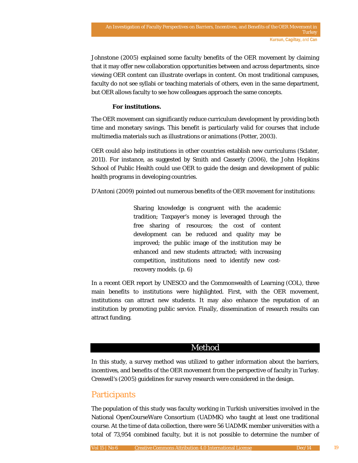Johnstone (2005) explained some faculty benefits of the OER movement by claiming that it may offer new collaboration opportunities between and across departments, since viewing OER content can illustrate overlaps in content. On most traditional campuses, faculty do not see syllabi or teaching materials of others, even in the same department, but OER allows faculty to see how colleagues approach the same concepts.

#### **For institutions.**

The OER movement can significantly reduce curriculum development by providing both time and monetary savings. This benefit is particularly valid for courses that include multimedia materials such as illustrations or animations (Potter, 2003).

OER could also help institutions in other countries establish new curriculums (Sclater, 2011). For instance, as suggested by Smith and Casserly (2006), the John Hopkins School of Public Health could use OER to guide the design and development of public health programs in developing countries.

D'Antoni (2009) pointed out numerous benefits of the OER movement for institutions:

Sharing knowledge is congruent with the academic tradition; Taxpayer's money is leveraged through the free sharing of resources; the cost of content development can be reduced and quality may be improved; the public image of the institution may be enhanced and new students attracted; with increasing competition, institutions need to identify new cost‐ recovery models. (p. 6)

In a recent OER report by UNESCO and the Commonwealth of Learning (COL), three main benefits to institutions were highlighted. First, with the OER movement, institutions can attract new students. It may also enhance the reputation of an institution by promoting public service. Finally, dissemination of research results can attract funding.

### Method

In this study, a survey method was utilized to gather information about the barriers, incentives, and benefits of the OER movement from the perspective of faculty in Turkey. Creswell's (2005) guidelines for survey research were considered in the design.

# **Participants**

The population of this study was faculty working in Turkish universities involved in the National OpenCourseWare Consortium (UADMK) who taught at least one traditional course. At the time of data collection, there were 56 UADMK member universities with a total of 73,954 combined faculty, but it is not possible to determine the number of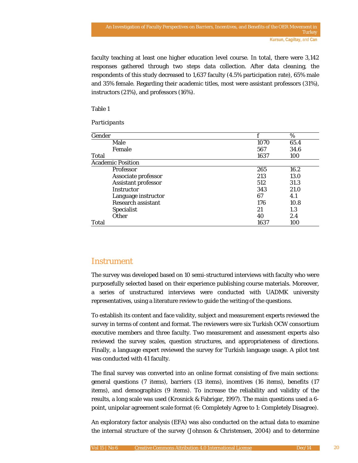faculty teaching at least one higher education level course. In total, there were 3,142 responses gathered through two steps data collection. After data cleaning, the respondents of this study decreased to 1,637 faculty (4.5% participation rate), 65% male and 35% female. Regarding their academic titles, most were assistant professors (31%), instructors (21%), and professors (16%).

#### Table 1

#### *Participants*

| Gender |                           |      | $\%$ |
|--------|---------------------------|------|------|
|        | Male                      | 1070 | 65.4 |
|        | Female                    | 567  | 34.6 |
| Total  |                           | 1637 | 100  |
|        | <b>Academic Position</b>  |      |      |
|        | Professor                 | 265  | 16.2 |
|        | Associate professor       | 213  | 13.0 |
|        | Assistant professor       | 512  | 31.3 |
|        | Instructor                | 343  | 21.0 |
|        | Language instructor       | 67   | 4.1  |
|        | <b>Research assistant</b> | 176  | 10.8 |
|        | <b>Specialist</b>         | 21   | 1.3  |
|        | <b>Other</b>              | 40   | 2.4  |
| Total  |                           | 1637 | 100  |

### **Instrument**

The survey was developed based on 10 semi-structured interviews with faculty who were purposefully selected based on their experience publishing course materials. Moreover, a series of unstructured interviews were conducted with UADMK university representatives, using a literature review to guide the writing of the questions.

To establish its content and face validity, subject and measurement experts reviewed the survey in terms of content and format. The reviewers were six Turkish OCW consortium executive members and three faculty. Two measurement and assessment experts also reviewed the survey scales, question structures, and appropriateness of directions. Finally, a language expert reviewed the survey for Turkish language usage. A pilot test was conducted with 41 faculty.

The final survey was converted into an online format consisting of five main sections: general questions (7 items), barriers (13 items), incentives (16 items), benefits (17 items), and demographics (9 items). To increase the reliability and validity of the results, a long scale was used (Krosnick & Fabrigar, 1997). The main questions used a 6 point, unipolar agreement scale format (6: Completely Agree to 1: Completely Disagree).

An exploratory factor analysis (EFA) was also conducted on the actual data to examine the internal structure of the survey (Johnson & Christensen, 2004) and to determine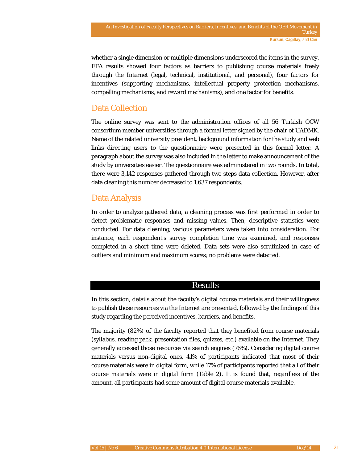whether a single dimension or multiple dimensions underscored the items in the survey. EFA results showed four factors as barriers to publishing course materials freely through the Internet (legal, technical, institutional, and personal), four factors for incentives (supporting mechanisms, intellectual property protection mechanisms, compelling mechanisms, and reward mechanisms), and one factor for benefits.

# Data Collection

The online survey was sent to the administration offices of all 56 Turkish OCW consortium member universities through a formal letter signed by the chair of UADMK. Name of the related university president, background information for the study and web links directing users to the questionnaire were presented in this formal letter. A paragraph about the survey was also included in the letter to make announcement of the study by universities easier. The questionnaire was administered in two rounds. In total, there were 3,142 responses gathered through two steps data collection. However, after data cleaning this number decreased to 1,637 respondents.

# Data Analysis

In order to analyze gathered data, a cleaning process was first performed in order to detect problematic responses and missing values. Then, descriptive statistics were conducted. For data cleaning, various parameters were taken into consideration. For instance, each respondent's survey completion time was examined, and responses completed in a short time were deleted. Data sets were also scrutinized in case of outliers and minimum and maximum scores; no problems were detected.

### Results

In this section, details about the faculty's digital course materials and their willingness to publish those resources via the Internet are presented, followed by the findings of this study regarding the perceived incentives, barriers, and benefits.

The majority (82%) of the faculty reported that they benefited from course materials (syllabus, reading pack, presentation files, quizzes, etc.) available on the Internet. They generally accessed those resources via search engines (76%). Considering digital course materials versus non-digital ones, 41% of participants indicated that most of their course materials were in digital form, while 17% of participants reported that all of their course materials were in digital form (Table 2). It is found that, regardless of the amount, all participants had some amount of digital course materials available.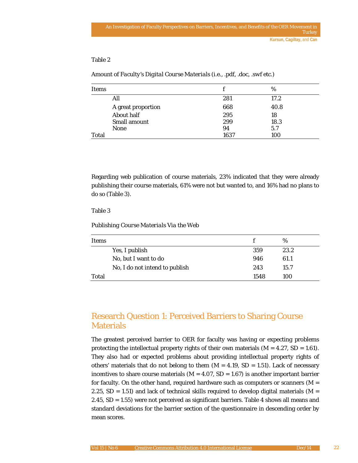| <b>Items</b> |                     |      | %    |  |
|--------------|---------------------|------|------|--|
|              | All                 | 281  | 17.2 |  |
|              | A great proportion  | 668  | 40.8 |  |
|              | About half          | 295  | 18   |  |
|              | <b>Small amount</b> | 299  | 18.3 |  |
|              | <b>None</b>         | 94   | 5.7  |  |
| Total        |                     | 1637 | 100  |  |

*Amount of Faculty's Digital Course Materials (i.e., .pdf, .doc, .swf etc.)*

Regarding web publication of course materials, 23% indicated that they were already publishing their course materials, 61% were not but wanted to, and 16% had no plans to do so (Table 3).

#### Table 3

#### *Publishing Course Materials Via the Web*

| Items |                                |      | %    |
|-------|--------------------------------|------|------|
|       | Yes, I publish                 | 359  | 23.2 |
|       | No, but I want to do           | 946  | 61.1 |
|       | No, I do not intend to publish | 243  | 15.7 |
| Total |                                | 1548 | 100  |

# Research Question 1: Perceived Barriers to Sharing Course **Materials**

The greatest perceived barrier to OER for faculty was having or expecting problems protecting the intellectual property rights of their own materials (*M* = 4.27, *SD* = 1.61). They also had or expected problems about providing intellectual property rights of others' materials that do not belong to them  $(M = 4.19, SD = 1.51)$ . Lack of necessary incentives to share course materials  $(M = 4.07, SD = 1.67)$  is another important barrier for faculty. On the other hand, required hardware such as computers or scanners (*M* = 2.25,  $SD = 1.51$ ) and lack of technical skills required to develop digital materials ( $M =$ 2.45, *SD* = 1.55) were not perceived as significant barriers. Table 4 shows all means and standard deviations for the barrier section of the questionnaire in descending order by mean scores.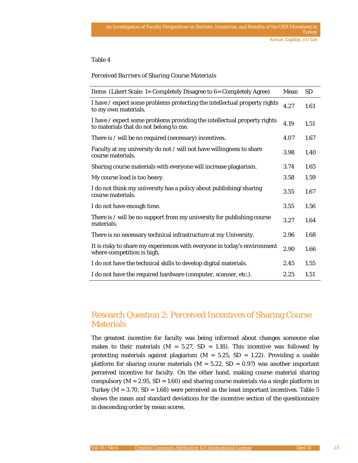#### *Perceived Barriers of Sharing Course Materials*

| Items (Likert Scale: 1= Completely Disagree to 6= Completely Agree)                                                |      | <b>SD</b> |
|--------------------------------------------------------------------------------------------------------------------|------|-----------|
| I have / expect some problems protecting the intellectual property rights<br>to my own materials.                  | 4.27 | 1.61      |
| I have / expect some problems providing the intellectual property rights<br>to materials that do not belong to me. | 4.19 | 1.51      |
| There is / will be no required (necessary) incentives.                                                             | 4.07 | 1.67      |
| Faculty at my university do not / will not have willingness to share<br>course materials.                          | 3.98 | 1.40      |
| Sharing course materials with everyone will increase plagiarism.                                                   | 3.74 | 1.65      |
| My course load is too heavy.                                                                                       | 3.58 | 1.59      |
| I do not think my university has a policy about publishing/sharing<br>course materials.                            | 3.55 | 1.67      |
| I do not have enough time.                                                                                         | 3.55 | 1.56      |
| There is / will be no support from my university for publishing course<br>materials.                               |      | 1.64      |
| There is no necessary technical infrastructure at my University.                                                   | 2.96 | 1.68      |
| It is risky to share my experiences with everyone in today's environment<br>where competition is high.             |      | 1.66      |
| I do not have the technical skills to develop digital materials.                                                   | 2.45 | 1.55      |
| I do not have the required hardware (computer, scanner, etc.).                                                     | 2.25 | 1.51      |

# Research Question 2: Perceived Incentives of Sharing Course **Materials**

The greatest incentive for faculty was being informed about changes someone else makes to their materials  $(M = 5.27, SD = 1.18)$ . This incentive was followed by protecting materials against plagiarism (*M* = 5.25, *SD* = 1.22). Providing a usable platform for sharing course materials (*M* = 5.22, *SD = 0.97*) was another important perceived incentive for faculty. On the other hand, making course material sharing compulsory (*M* = 2.95, *SD = 1.60*) and sharing course materials via a single platform in Turkey ( $M = 3.70$ ,  $SD = 1.68$ ) were perceived as the least important incentives. Table 5 shows the mean and standard deviations for the incentive section of the questionnaire in descending order by mean scores.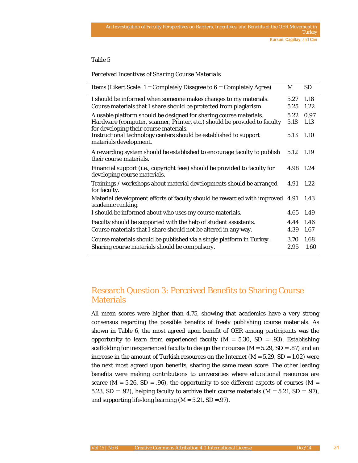*Perceived Incentives of Sharing Course Materials*

| Items (Likert Scale: $1 =$ Completely Disagree to $6 =$ Completely Agree)                                           | M         | <b>SD</b> |
|---------------------------------------------------------------------------------------------------------------------|-----------|-----------|
| I should be informed when someone makes changes to my materials.                                                    | 5.27      | 1.18      |
| Course materials that I share should be protected from plagiarism.                                                  | 5.25      | 1.22      |
| A usable platform should be designed for sharing course materials.                                                  | 5.22      | 0.97      |
| Hardware (computer, scanner, Printer, etc.) should be provided to faculty<br>for developing their course materials. | 5.18      | 1.13      |
| Instructional technology centers should be established to support<br>materials development.                         | 5.13      | 1.10      |
| A rewarding system should be established to encourage faculty to publish<br>their course materials.                 | 5.12      | 1.19      |
| Financial support (i.e., copyright fees) should be provided to faculty for<br>developing course materials.          | 4.98 1.24 |           |
| Trainings / workshops about material developments should be arranged<br>for faculty.                                | 4.91      | 1.22      |
| Material development efforts of faculty should be rewarded with improved 4.91<br>academic ranking.                  |           | 1.43      |
| I should be informed about who uses my course materials.                                                            | 4.65      | 1.49      |
| Faculty should be supported with the help of student assistants.                                                    | 4.44 1.46 |           |
| Course materials that I share should not be altered in any way.                                                     | 4.39      | 1.67      |
| Course materials should be published via a single platform in Turkey.                                               | 3.70      | 1.68      |
| Sharing course materials should be compulsory.                                                                      | 2.95      | 1.60      |

# Research Question 3: Perceived Benefits to Sharing Course **Materials**

All mean scores were higher than 4.75, showing that academics have a very strong consensus regarding the possible benefits of freely publishing course materials. As shown in Table 6, the most agreed upon benefit of OER among participants was the opportunity to learn from experienced faculty  $(M = 5.30, SD = .93)$ . Establishing scaffolding for inexperienced faculty to design their courses (*M* = 5.29, *SD* = .87) and an increase in the amount of Turkish resources on the Internet (*M* = 5.29, *SD* = 1.02) were the next most agreed upon benefits, sharing the same mean score. The other leading benefits were making contributions to universities where educational resources are scarce ( $M = 5.26$ ,  $SD = .96$ ), the opportunity to see different aspects of courses ( $M =$ 5.23,  $SD = .92$ ), helping faculty to archive their course materials ( $M = 5.21$ ,  $SD = .97$ ), and supporting life-long learning  $(M = 5.21, SD = .97)$ .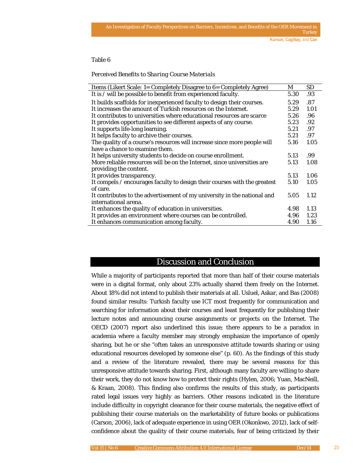*Perceived Benefits to Sharing Course Materials*

| Items (Likert Scale: 1= Completely Disagree to 6= Completely Agree)       |      | <b>SD</b> |
|---------------------------------------------------------------------------|------|-----------|
| It is / will be possible to benefit from experienced faculty.             |      | .93       |
| It builds scaffolds for inexperienced faculty to design their courses.    |      | .87       |
| It increases the amount of Turkish resources on the Internet.             |      | 1.01      |
| It contributes to universities where educational resources are scarce     | 5.26 | .96       |
| It provides opportunities to see different aspects of any course.         | 5.23 | .92       |
| It supports life-long learning.                                           | 5.21 | .97       |
| It helps faculty to archive their courses.                                | 5.21 | .97       |
| The quality of a course's resources will increase since more people will  | 5.16 | 1.05      |
| have a chance to examine them.                                            |      |           |
| It helps university students to decide on course enrollment.              |      | .99       |
| More reliable resources will be on the Internet, since universities are   |      | 1.08      |
| providing the content.                                                    |      |           |
| It provides transparency.                                                 | 5.13 | 1.06      |
| It compels / encourages faculty to design their courses with the greatest | 5.10 | 1.05      |
| of care.                                                                  |      |           |
| It contributes to the advertisement of my university in the national and  | 5.05 | 1.12      |
| international arena.                                                      |      |           |
| It enhances the quality of education in universities.                     |      | 1.13      |
| It provides an environment where courses can be controlled.               |      | 1.23      |
| It enhances communication among faculty.                                  | 4.90 | 1.16      |

### Discussion and Conclusion

While a majority of participants reported that more than half of their course materials were in a digital format, only about 23% actually shared them freely on the Internet. About 18% did not intend to publish their materials at all. Usluel, Askar, and Bas (2008) found similar results: Turkish faculty use ICT most frequently for communication and searching for information about their courses and least frequently for publishing their lecture notes and announcing course assignments or projects on the Internet. The OECD (2007) report also underlined this issue; there appears to be a paradox in academia where a faculty member may strongly emphasize the importance of openly sharing, but he or she "often takes an unresponsive attitude towards sharing or using educational resources developed by someone else" (p. 60). As the findings of this study and a review of the literature revealed, there may be several reasons for this unresponsive attitude towards sharing. First, although many faculty are willing to share their work, they do not know how to protect their rights (Hylen, 2006; Yuan, MacNeill, & Kraan, 2008). This finding also confirms the results of this study, as participants rated legal issues very highly as barriers. Other reasons indicated in the literature include difficulty in copyright clearance for their course materials, the negative effect of publishing their course materials on the marketability of future books or publications (Carson, 2006), lack of adequate experience in using OER (Okonkwo, 2012), lack of selfconfidence about the quality of their course materials, fear of being criticized by their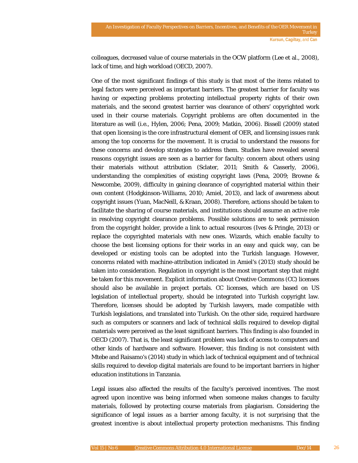colleagues, decreased value of course materials in the OCW platform (Lee et al., 2008), lack of time, and high workload (OECD, 2007).

One of the most significant findings of this study is that most of the items related to legal factors were perceived as important barriers. The greatest barrier for faculty was having or expecting problems protecting intellectual property rights of their own materials, and the second greatest barrier was clearance of others' copyrighted work used in their course materials. Copyright problems are often documented in the literature as well (i.e., Hylen, 2006; Pena, 2009; Matkin, 2006). Bissell (2009) stated that open licensing is the core infrastructural element of OER, and licensing issues rank among the top concerns for the movement. It is crucial to understand the reasons for these concerns and develop strategies to address them. Studies have revealed several reasons copyright issues are seen as a barrier for faculty: concern about others using their materials without attribution (Sclater, 2011; Smith & Casserly, 2006), understanding the complexities of existing copyright laws (Pena, 2009; Browne & Newcombe, 2009), difficulty in gaining clearance of copyrighted material within their own content (Hodgkinson-Williams, 2010; Amiel, 2013), and lack of awareness about copyright issues (Yuan, MacNeill, & Kraan, 2008). Therefore, actions should be taken to facilitate the sharing of course materials, and institutions should assume an active role in resolving copyright clearance problems. Possible solutions are to seek permission from the copyright holder, provide a link to actual resources (Ives & Pringle, 2013) or replace the copyrighted materials with new ones. Wizards, which enable faculty to choose the best licensing options for their works in an easy and quick way, can be developed or existing tools can be adopted into the Turkish language. However, concerns related with machine-attribution indicated in Amiel's (2013) study should be taken into consideration. Regulation in copyright is the most important step that might be taken for this movement. Explicit information about Creative Commons (CC) licenses should also be available in project portals. CC licenses, which are based on US legislation of intellectual property, should be integrated into Turkish copyright law. Therefore, licenses should be adopted by Turkish lawyers, made compatible with Turkish legislations, and translated into Turkish. On the other side, required hardware such as computers or scanners and lack of technical skills required to develop digital materials were perceived as the least significant barriers. This finding is also founded in OECD (2007). That is, the least significant problem was lack of access to computers and other kinds of hardware and software. However, this finding is not consistent with Mtebe and Raisamo's (2014) study in which lack of technical equipment and of technical skills required to develop digital materials are found to be important barriers in higher education institutions in Tanzania.

Legal issues also affected the results of the faculty's perceived incentives. The most agreed upon incentive was being informed when someone makes changes to faculty materials, followed by protecting course materials from plagiarism. Considering the significance of legal issues as a barrier among faculty, it is not surprising that the greatest incentive is about intellectual property protection mechanisms. This finding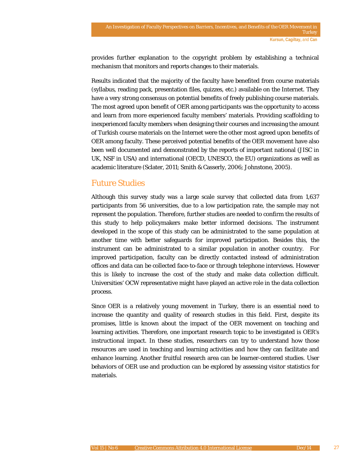provides further explanation to the copyright problem by establishing a technical mechanism that monitors and reports changes to their materials.

Results indicated that the majority of the faculty have benefited from course materials (syllabus, reading pack, presentation files, quizzes, etc.) available on the Internet. They have a very strong consensus on potential benefits of freely publishing course materials. The most agreed upon benefit of OER among participants was the opportunity to access and learn from more experienced faculty members' materials. Providing scaffolding to inexperienced faculty members when designing their courses and increasing the amount of Turkish course materials on the Internet were the other most agreed upon benefits of OER among faculty. These perceived potential benefits of the OER movement have also been well documented and demonstrated by the reports of important national (JISC in UK, NSF in USA) and international (OECD, UNESCO, the EU) organizations as well as academic literature (Sclater, 2011; Smith & Casserly, 2006; Johnstone, 2005).

# Future Studies

Although this survey study was a large scale survey that collected data from 1,637 participants from 56 universities, due to a low participation rate, the sample may not represent the population. Therefore, further studies are needed to confirm the results of this study to help policymakers make better informed decisions. The instrument developed in the scope of this study can be administrated to the same population at another time with better safeguards for improved participation. Besides this, the instrument can be administrated to a similar population in another country. For improved participation, faculty can be directly contacted instead of administration offices and data can be collected face-to-face or through telephone interviews. However this is likely to increase the cost of the study and make data collection difficult. Universities' OCW representative might have played an active role in the data collection process.

Since OER is a relatively young movement in Turkey, there is an essential need to increase the quantity and quality of research studies in this field. First, despite its promises, little is known about the impact of the OER movement on teaching and learning activities. Therefore, one important research topic to be investigated is OER's instructional impact. In these studies, researchers can try to understand how those resources are used in teaching and learning activities and how they can facilitate and enhance learning. Another fruitful research area can be learner-centered studies. User behaviors of OER use and production can be explored by assessing visitor statistics for materials.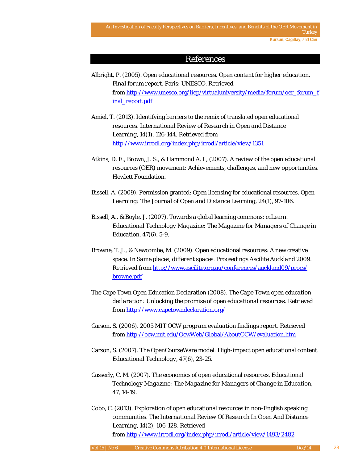### References

- Albright, P. (2005). *Open educational resources. Open content for higher education. Final forum report.* Paris: UNESCO. Retrieved from [http://www.unesco.org/iiep/virtualuniversity/media/forum/oer\\_forum\\_f](http://www.unesco.org/iiep/virtualuniversity/media/forum/oer_forum_final_report.pdf) [inal\\_report.pdf](http://www.unesco.org/iiep/virtualuniversity/media/forum/oer_forum_final_report.pdf)
- Amiel, T. (2013). Identifying barriers to the remix of translated open educational resources. *International Review of Research in Open and Distance Learning, 14*(1), 126-144. Retrieved from <http://www.irrodl.org/index.php/irrodl/article/view/1351>
- Atkins, D. E., Brown, J. S., & Hammond A. L, (2007). *A review of the open educational resources (OER) movement: Achievements, challenges, and new opportunities.* Hewlett Foundation.
- Bissell, A. (2009). Permission granted: Open licensing for educational resources. *Open Learning: The Journal of Open and Distance Learning, 24*(1), 97-106.
- Bissell, A., & Boyle, J. (2007). Towards a global learning commons: ccLearn. *Educational Technology Magazine: The Magazine for Managers of Change in Education*, *47*(6), 5-9.
- Browne, T. J., & Newcombe, M. (2009). Open educational resources: A new creative space. In *Same places, different spaces. Proceedings Ascilite Auckland 2009*. Retrieved from<http://www.ascilite.org.au/conferences/auckland09/procs/> [browne.pdf](http://www.ascilite.org.au/conferences/auckland09/procs/)
- The Cape Town Open Education Declaration (2008). *The Cape Town open education declaration: Unlocking the promise of open educational resources.* Retrieved from<http://www.capetowndeclaration.org/>
- Carson, S. (2006). *2005 MIT OCW program evaluation findings report*. Retrieved from<http://ocw.mit.edu/OcwWeb/Global/AboutOCW/evaluation.htm>
- Carson, S. (2007). The OpenCourseWare model: High-impact open educational content. *Educational Technology, 47*(6), 23-25.
- Casserly, C. M. (2007). The economics of open educational resources. *Educational Technology Magazine: The Magazine for Managers of Change in Education, 47*, 14-19.
- Cobo, C. (2013). Exploration of open educational resources in non-English speaking communities. *The International Review Of Research In Open And Distance Learning, 14*(2), 106-128. Retrieved from<http://www.irrodl.org/index.php/irrodl/article/view/1493/2482>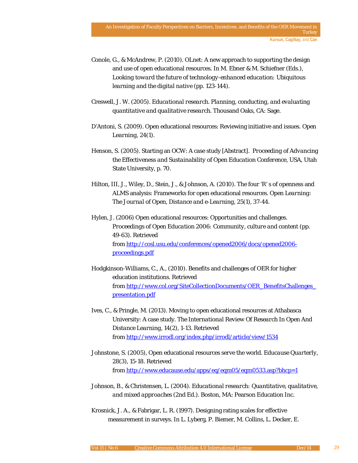- Conole, G., & McAndrew, P. (2010). OLnet: A new approach to supporting the design and use of open educational resources. In M. Ebner & M. Schiefner (Eds.), *Looking toward the future of technology-enhanced education: Ubiquitous learning and the digital native* (pp. 123-144).
- Creswell, J. W. (2005). *Educational research. Planning, conducting, and evaluating quantitative and qualitative research*. Thousand Oaks, CA: Sage.
- D'Antoni, S. (2009). Open educational resources: Reviewing initiative and issues. *Open Learning*, *24*(1).
- Henson, S. (2005). Starting an OCW: A case study [Abstract]. *Proceeding of Advancing the Effectiveness and Sustainability of Open Education Conference*, USA, Utah State University, p. 70.
- Hilton, III, J., Wiley, D., Stein, J., & Johnson, A. (2010). The four 'R' s of openness and ALMS analysis: Frameworks for open educational resources. *Open Learning: The Journal of Open, Distance and e-Learning, 25*(1), 37-44.
- Hylen, J. (2006) Open educational resources: Opportunities and challenges. *Proceedings of Open Education 2006: Community, culture and content* (pp. 49-63). Retrieved from [http://cosl.usu.edu/conferences/opened2006/docs/opened2006](http://cosl.usu.edu/conferences/opened2006/docs/opened2006-proceedings.pdf) [proceedings.pdf](http://cosl.usu.edu/conferences/opened2006/docs/opened2006-proceedings.pdf)
- Hodgkinson-Williams, C., A., (2010). Benefits and challenges of OER for higher education institutions. Retrieved from [http://www.col.org/SiteCollectionDocuments/OER\\_BenefitsChallenges\\_](http://www.col.org/SiteCollectionDocuments/OER_BenefitsChallenges_presentation.pdf) [presentation.pdf](http://www.col.org/SiteCollectionDocuments/OER_BenefitsChallenges_presentation.pdf)
- Ives, C., & Pringle, M. (2013). Moving to open educational resources at Athabasca University: A case study. *The International Review Of Research In Open And Distance Learning, 14*(2), 1-13. Retrieved from<http://www.irrodl.org/index.php/irrodl/article/view/1534>
- Johnstone, S. (2005), Open educational resources serve the world. *Educause Quarterly, 28*(3), 15-18. Retrieved from<http://www.educause.edu/apps/eq/eqm05/eqm0533.asp?bhcp=1>
- Johnson, B., & Christensen, L. (2004). *Educational research: Quantitative, qualitative, and mixed approaches* (2nd Ed.). Boston, MA: Pearson Education Inc.
- Krosnick, J. A., & Fabrigar, L. R. (1997). Designing rating scales for effective measurement in surveys. In L. Lyberg, P. Biemer, M. Collins, L. Decker, E.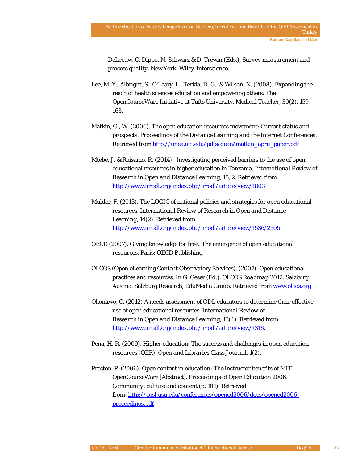DeLeeuw, C. Dippo, N. Schwarz & D. Trewin (Eds.), *Survey measurement and process quality.* New York: Wiley-Interscience.

- Lee, M. Y., Albright, S., O'Leary, L., Terkla, D. G., & Wilson, N. (2008). Expanding the reach of health sciences education and empowering others: The OpenCourseWare Initiative at Tufts University. *Medical Teacher*, *30*(2), 159- 163.
- Matkin, G., W. (2006). The open education resources movement: Current status and prospects. *Proceedings of the Distance Learning and the Internet Conferences*. Retrieved from [http://unex.uci.edu/pdfs/dean/matkin\\_apru\\_paper.pdf](http://unex.uci.edu/pdfs/dean/matkin_apru_paper.pdf)
- Mtebe, J. & Raisamo, R. (2014). Investigating perceived barriers to the use of open educational resources in higher education in Tanzania. *International Review of Research in Open and Distance Learning, 15, 2.* Retrieved from <http://www.irrodl.org/index.php/irrodl/article/view/1803>
- Mulder, F. (2013). The LOGIC of national policies and strategies for open educational resources. *International Review of Research in Open and Distance Learning, 14(2).* Retrieved from [http://www.irrodl.org/index.php/irrodl/article/view/1536/2505.](http://www.irrodl.org/index.php/irrodl/article/view/1536/2505)
- OECD (2007). *Giving knowledge for free: The emergence of open educational resources*. Paris: OECD Publishing.
- OLCOS (Open eLearning Content Observatory Services). (2007). Open educational practices and resources. In G. Geser (Ed.), *OLCOS Roadmap 2012.* Salzburg, Austria: Salzburg Research, EduMedia Group. Retrieved from [www.olcos.org](http://www.olcos.org/)
- Okonkwo, C. (2012) A needs assessment of ODL educators to determine their effective use of open educational resources. *International Review of Research in Open and Distance Learning, 13*(4). Retrieved from [http://www.irrodl.org/index.php/irrodl/article/view/1316.](http://www.irrodl.org/index.php/irrodl/article/view/1316)
- Pena, H. R. (2009). Higher education: The success and challenges in open education resources (OER). *Open and Libraries Class Journal, 1*(2).
- Preston, P. (2006). Open content in education: The instructor benefits of MIT OpenCourseWare [Abstract]. *Proceedings of Open Education 2006: Community, culture and content* (p. 101). Retrieved from: [http://cosl.usu.edu/conferences/opened2006/docs/opened2006](http://cosl.usu.edu/conferences/opened2006/docs/opened2006-proceedings.pdf) [proceedings.pdf](http://cosl.usu.edu/conferences/opened2006/docs/opened2006-proceedings.pdf)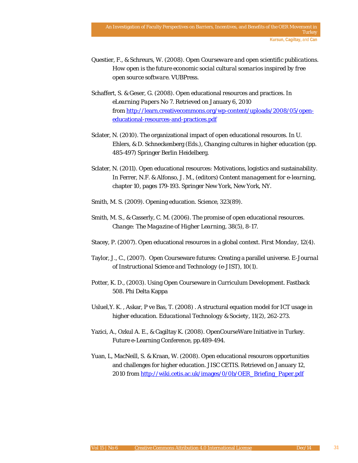- Questier, F., & Schreurs, W. (2008). *Open Courseware and open scientific publications. How open is the future economic social cultural scenarios inspired by free open source software.* VUBPress.
- Schaffert, S. & Geser, G. (2008). Open educational resources and practices. In *eLearning Papers No 7*. Retrieved on January 6, 2010 from [http://learn.creativecommons.org/wp-content/uploads/2008/05/open](http://learn.creativecommons.org/wp-content/uploads/2008/05/open-educational-resources-and-practices.pdf)[educational-resources-and-practices.pdf](http://learn.creativecommons.org/wp-content/uploads/2008/05/open-educational-resources-and-practices.pdf)
- Sclater, N. (2010). The organizational impact of open educational resources. In U. Ehlers, & D. Schneckenberg (Eds.), *Changing cultures in higher education* (pp. 485-497) Springer Berlin Heidelberg.
- Sclater, N. (2011). Open educational resources: Motivations, logistics and sustainability. In Ferrer, N.F. & Alfonso, J. M., (editors) *Content management for e-learning*, chapter 10, pages 179-193. Springer New York, New York, NY.
- Smith, M. S. (2009). Opening education. *Science*, 323(89).
- Smith, M. S., & Casserly, C. M. (2006). The promise of open educational resources. *Change: The Magazine of Higher Learning*, *38*(5), 8-17.
- Stacey, P. (2007). Open educational resources in a global context. *First Monday*, *12*(4).
- Taylor, J., C., (2007). Open Courseware futures: Creating a parallel universe. *E-Journal of Instructional Science and Technology (e-JIST)*, *10*(1).
- Potter, K. D., (2003). Using Open Courseware in Curriculum Development. Fastback 508. Phi Delta Kappa
- Usluel,Y. K. , Askar, P ve Bas, T. (2008) . A structural equation model for ICT usage in higher education. *Educational Technology & Society, 11*(2), 262-273.
- Yazici, A., Ozkul A. E., & Cagiltay K. (2008). OpenCourseWare Initiative in Turkey. Future e-Learning Conference, pp.489-494.
- Yuan, L, MacNeill, S. & Kraan, W. (2008). Open educational resources opportunities and challenges for higher education. *JISC CETIS*. Retrieved on January 12, 2010 from [http://wiki.cetis.ac.uk/images/0/0b/OER\\_Briefing\\_Paper.pdf](http://wiki.cetis.ac.uk/images/0/0b/OER_Briefing_Paper.pdf)